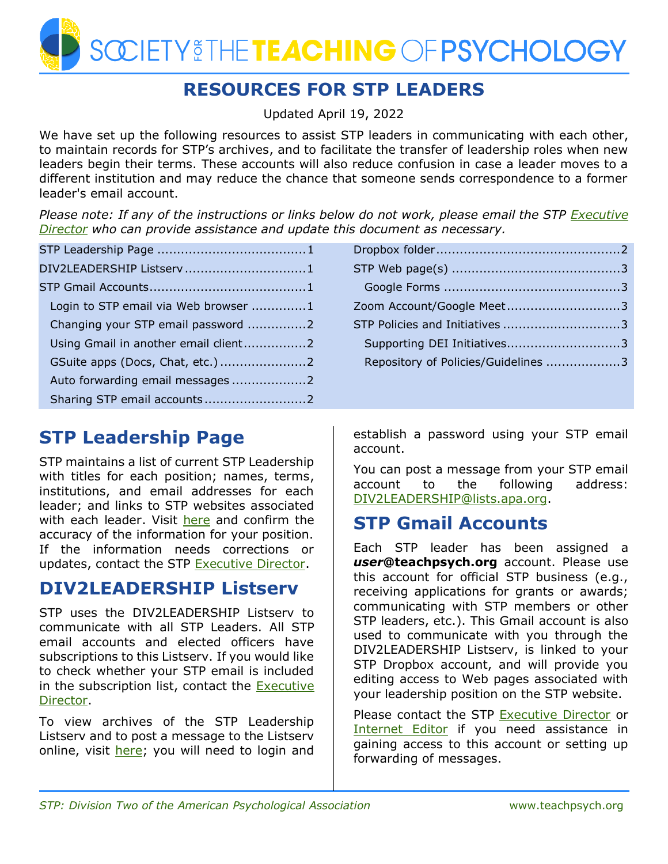SOCIETY THE TEACHING OF PSYCHOLOGY

# **RESOURCES FOR STP LEADERS**

Updated April 19, 2022

We have set up the following resources to assist STP leaders in communicating with each other, to maintain records for STP's archives, and to facilitate the transfer of leadership roles when new leaders begin their terms. These accounts will also reduce confusion in case a leader moves to a different institution and may reduce the chance that someone sends correspondence to a former leader's email account.

*Please note: If any of the instructions or links below do not work, please email the STP [Executive](mailto:stp@teachpsych.org)  [Director](mailto:stp@teachpsych.org) who can provide assistance and update this document as necessary.*

| DIV2LEADERSHIP Listserv 1            |
|--------------------------------------|
|                                      |
| Login to STP email via Web browser 1 |
| Changing your STP email password 2   |
| Using Gmail in another email client2 |
|                                      |
|                                      |
|                                      |
|                                      |

| Supporting DEI Initiatives3         |
|-------------------------------------|
| Repository of Policies/Guidelines 3 |
|                                     |

# <span id="page-0-0"></span>**STP Leadership Page**

STP maintains a list of current STP Leadership with titles for each position; names, terms, institutions, and email addresses for each leader; and links to STP websites associated with each leader. Visit [here](http://teachpsych.org/STPLeaders) and confirm the accuracy of the information for your position. If the information needs corrections or updates, contact the STP [Executive Director.](mailto:stp@teachpsych.org)

# <span id="page-0-1"></span>**DIV2LEADERSHIP Listserv**

STP uses the DIV2LEADERSHIP Listserv to communicate with all STP Leaders. All STP email accounts and elected officers have subscriptions to this Listserv. If you would like to check whether your STP email is included in the subscription list, contact the **Executive** [Director.](mailto:stp@teachpsych.org)

To view archives of the STP Leadership Listserv and to post a message to the Listserv online, visit [here;](http://lists.apa.org/cgi-bin/wa.exe?A0=DIV2LEADERSHIP) you will need to login and establish a password using your STP email account.

You can post a message from your STP email account to the following address: [DIV2LEADERSHIP@lists.apa.org.](mailto:DIV2LEADERSHIP@lists.apa.org)

# <span id="page-0-2"></span>**STP Gmail Accounts**

Each STP leader has been assigned a *user***@teachpsych.org** account. Please use this account for official STP business (e.g., receiving applications for grants or awards; communicating with STP members or other STP leaders, etc.). This Gmail account is also used to communicate with you through the DIV2LEADERSHIP Listserv, is linked to your STP Dropbox account, and will provide you editing access to Web pages associated with your leadership position on the STP website.

<span id="page-0-3"></span>Please contact the STP [Executive Director](mailto:stp@teachpsych.org) or [Internet Editor](mailto:ie@teachpsych.org) if you need assistance in gaining access to this account or setting up forwarding of messages.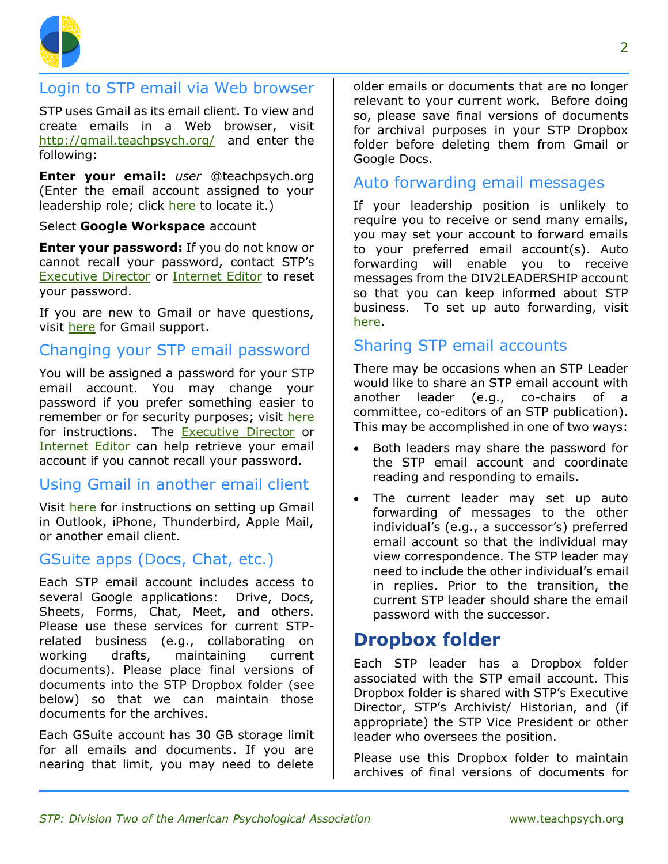

### Login to STP email via Web browser

STP uses Gmail as its email client. To view and create emails in a Web browser, visit <http://gmail.teachpsych.org/> and enter the following:

**Enter your email:** *user* @teachpsych.org (Enter the email account assigned to your leadership role; click [here](http://teachpsych.org/STPLeaders) to locate it.)

#### Select **Google Workspace** account

**Enter your password:** If you do not know or cannot recall your password, contact STP's [Executive Director](mailto:stp@teachpsych.org) or [Internet Editor](mailto:ie@teachpsych.org) to reset your password.

If you are new to Gmail or have questions, visit [here](https://support.google.com/mail/) for Gmail support.

#### <span id="page-1-0"></span>Changing your STP email password

You will be assigned a password for your STP email account. You may change your password if you prefer something easier to remember or for security purposes; visit [here](https://support.google.com/mail/answer/41078) for instructions. The **[Executive Director](mailto:stp@teachpsych.org)** or [Internet Editor](mailto:ie@teachpsych.org) can help retrieve your email account if you cannot recall your password.

#### <span id="page-1-1"></span>Using Gmail in another email client

Visit [here](https://support.google.com/mail/answer/78892) for instructions on setting up Gmail in Outlook, iPhone, Thunderbird, Apple Mail, or another email client.

### <span id="page-1-2"></span>GSuite apps (Docs, Chat, etc.)

Each STP email account includes access to several Google applications: Drive, Docs, Sheets, Forms, Chat, Meet, and others. Please use these services for current STPrelated business (e.g., collaborating on working drafts, maintaining current documents). Please place final versions of documents into the STP Dropbox folder (see below) so that we can maintain those documents for the archives.

Each GSuite account has 30 GB storage limit for all emails and documents. If you are nearing that limit, you may need to delete

older emails or documents that are no longer relevant to your current work. Before doing so, please save final versions of documents for archival purposes in your STP Dropbox folder before deleting them from Gmail or Google Docs.

#### <span id="page-1-3"></span>Auto forwarding email messages

If your leadership position is unlikely to require you to receive or send many emails, you may set your account to forward emails to your preferred email account(s). Auto forwarding will enable you to receive messages from the DIV2LEADERSHIP account so that you can keep informed about STP business. To set up auto forwarding, visit [here.](https://support.google.com/mail/answer/10957)

#### <span id="page-1-4"></span>Sharing STP email accounts

There may be occasions when an STP Leader would like to share an STP email account with another leader (e.g., co-chairs of a committee, co-editors of an STP publication). This may be accomplished in one of two ways:

- Both leaders may share the password for the STP email account and coordinate reading and responding to emails.
- The current leader may set up auto forwarding of messages to the other individual's (e.g., a successor's) preferred email account so that the individual may view correspondence. The STP leader may need to include the other individual's email in replies. Prior to the transition, the current STP leader should share the email password with the successor.

### <span id="page-1-5"></span>**Dropbox folder**

Each STP leader has a Dropbox folder associated with the STP email account. This Dropbox folder is shared with STP's Executive Director, STP's Archivist/ Historian, and (if appropriate) the STP Vice President or other leader who oversees the position.

Please use this Dropbox folder to maintain archives of final versions of documents for